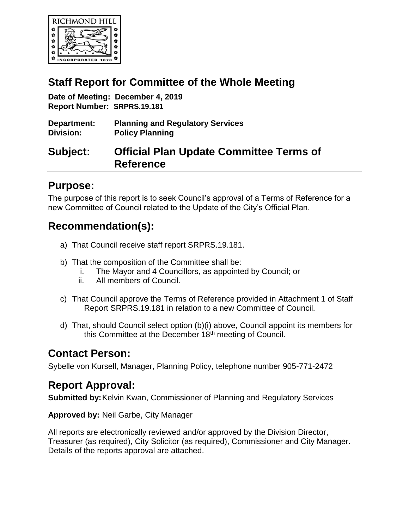

# **Staff Report for Committee of the Whole Meeting**

**Date of Meeting: December 4, 2019 Report Number: SRPRS.19.181**

| Department:      | <b>Planning and Regulatory Services</b> |
|------------------|-----------------------------------------|
| <b>Division:</b> | <b>Policy Planning</b>                  |

# **Subject: Official Plan Update Committee Terms of Reference**

# **Purpose:**

The purpose of this report is to seek Council's approval of a Terms of Reference for a new Committee of Council related to the Update of the City's Official Plan.

# **Recommendation(s):**

- a) That Council receive staff report SRPRS.19.181.
- b) That the composition of the Committee shall be:
	- i. The Mayor and 4 Councillors, as appointed by Council; or
	- ii. All members of Council.
- c) That Council approve the Terms of Reference provided in Attachment 1 of Staff Report SRPRS.19.181 in relation to a new Committee of Council.
- d) That, should Council select option (b)(i) above, Council appoint its members for this Committee at the December 18<sup>th</sup> meeting of Council.

# **Contact Person:**

Sybelle von Kursell, Manager, Planning Policy, telephone number 905-771-2472

# **Report Approval:**

**Submitted by:** Kelvin Kwan, Commissioner of Planning and Regulatory Services

**Approved by:** Neil Garbe, City Manager

All reports are electronically reviewed and/or approved by the Division Director, Treasurer (as required), City Solicitor (as required), Commissioner and City Manager. Details of the reports approval are attached.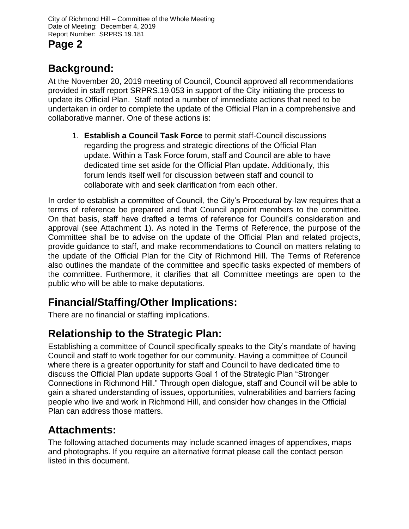# **Background:**

At the November 20, 2019 meeting of Council, Council approved all recommendations provided in staff report SRPRS.19.053 in support of the City initiating the process to update its Official Plan. Staff noted a number of immediate actions that need to be undertaken in order to complete the update of the Official Plan in a comprehensive and collaborative manner. One of these actions is:

1. **Establish a Council Task Force** to permit staff-Council discussions regarding the progress and strategic directions of the Official Plan update. Within a Task Force forum, staff and Council are able to have dedicated time set aside for the Official Plan update. Additionally, this forum lends itself well for discussion between staff and council to collaborate with and seek clarification from each other.

In order to establish a committee of Council, the City's Procedural by-law requires that a terms of reference be prepared and that Council appoint members to the committee. On that basis, staff have drafted a terms of reference for Council's consideration and approval (see Attachment 1). As noted in the Terms of Reference, the purpose of the Committee shall be to advise on the update of the Official Plan and related projects, provide guidance to staff, and make recommendations to Council on matters relating to the update of the Official Plan for the City of Richmond Hill. The Terms of Reference also outlines the mandate of the committee and specific tasks expected of members of the committee. Furthermore, it clarifies that all Committee meetings are open to the public who will be able to make deputations.

# **Financial/Staffing/Other Implications:**

There are no financial or staffing implications.

# **Relationship to the Strategic Plan:**

Establishing a committee of Council specifically speaks to the City's mandate of having Council and staff to work together for our community. Having a committee of Council where there is a greater opportunity for staff and Council to have dedicated time to discuss the Official Plan update supports Goal 1 of the Strategic Plan "Stronger Connections in Richmond Hill." Through open dialogue, staff and Council will be able to gain a shared understanding of issues, opportunities, vulnerabilities and barriers facing people who live and work in Richmond Hill, and consider how changes in the Official Plan can address those matters.

# **Attachments:**

The following attached documents may include scanned images of appendixes, maps and photographs. If you require an alternative format please call the contact person listed in this document.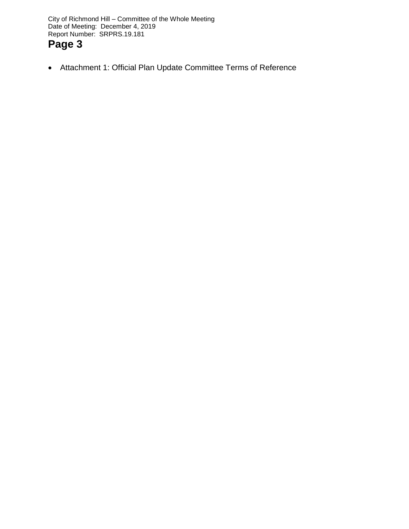City of Richmond Hill – Committee of the Whole Meeting Date of Meeting: December 4, 2019 Report Number: SRPRS.19.181

# **Page 3**

Attachment 1: Official Plan Update Committee Terms of Reference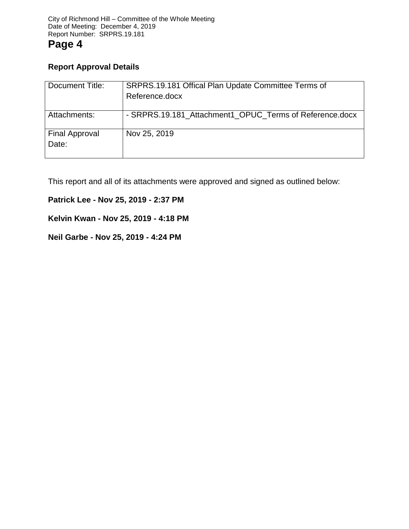## **Report Approval Details**

| Document Title:                | SRPRS.19.181 Offical Plan Update Committee Terms of<br>Reference.docx |
|--------------------------------|-----------------------------------------------------------------------|
| Attachments:                   | - SRPRS.19.181_Attachment1_OPUC_Terms of Reference.docx               |
| <b>Final Approval</b><br>Date: | Nov 25, 2019                                                          |

This report and all of its attachments were approved and signed as outlined below:

## **Patrick Lee - Nov 25, 2019 - 2:37 PM**

## **Kelvin Kwan - Nov 25, 2019 - 4:18 PM**

## **Neil Garbe - Nov 25, 2019 - 4:24 PM**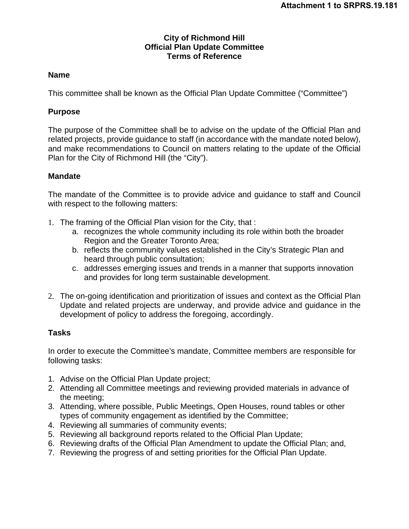### **City of Richmond Hill Official Plan Update Committee Terms of Reference**

### **Name**

This committee shall be known as the Official Plan Update Committee ("Committee")

## **Purpose**

The purpose of the Committee shall be to advise on the update of the Official Plan and related projects, provide guidance to staff (in accordance with the mandate noted below), and make recommendations to Council on matters relating to the update of the Official Plan for the City of Richmond Hill (the "City").

## **Mandate**

The mandate of the Committee is to provide advice and guidance to staff and Council with respect to the following matters:

- 1. The framing of the Official Plan vision for the City, that :
	- a. recognizes the whole community including its role within both the broader Region and the Greater Toronto Area;
	- b. reflects the community values established in the City's Strategic Plan and heard through public consultation;
	- c. addresses emerging issues and trends in a manner that supports innovation and provides for long term sustainable development.
- 2. The on-going identification and prioritization of issues and context as the Official Plan Update and related projects are underway, and provide advice and guidance in the development of policy to address the foregoing, accordingly.

### **Tasks**

In order to execute the Committee's mandate, Committee members are responsible for following tasks:

- 1. Advise on the Official Plan Update project;
- 2. Attending all Committee meetings and reviewing provided materials in advance of the meeting;
- 3. Attending, where possible, Public Meetings, Open Houses, round tables or other types of community engagement as identified by the Committee;
- 4. Reviewing all summaries of community events;
- 5. Reviewing all background reports related to the Official Plan Update;
- 6. Reviewing drafts of the Official Plan Amendment to update the Official Plan; and,
- 7. Reviewing the progress of and setting priorities for the Official Plan Update.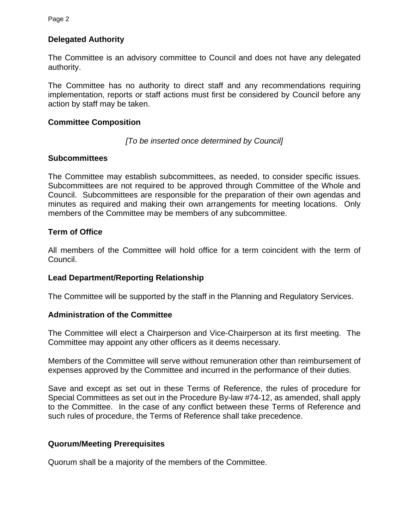## **Delegated Authority**

The Committee is an advisory committee to Council and does not have any delegated authority.

The Committee has no authority to direct staff and any recommendations requiring implementation, reports or staff actions must first be considered by Council before any action by staff may be taken.

### **Committee Composition**

#### *[To be inserted once determined by Council]*

#### **Subcommittees**

The Committee may establish subcommittees, as needed, to consider specific issues. Subcommittees are not required to be approved through Committee of the Whole and Council. Subcommittees are responsible for the preparation of their own agendas and minutes as required and making their own arrangements for meeting locations. Only members of the Committee may be members of any subcommittee.

### **Term of Office**

All members of the Committee will hold office for a term coincident with the term of Council.

### **Lead Department/Reporting Relationship**

The Committee will be supported by the staff in the Planning and Regulatory Services.

#### **Administration of the Committee**

The Committee will elect a Chairperson and Vice-Chairperson at its first meeting. The Committee may appoint any other officers as it deems necessary.

Members of the Committee will serve without remuneration other than reimbursement of expenses approved by the Committee and incurred in the performance of their duties.

Save and except as set out in these Terms of Reference, the rules of procedure for Special Committees as set out in the Procedure By-law #74-12, as amended, shall apply to the Committee. In the case of any conflict between these Terms of Reference and such rules of procedure, the Terms of Reference shall take precedence.

### **Quorum/Meeting Prerequisites**

Quorum shall be a majority of the members of the Committee.